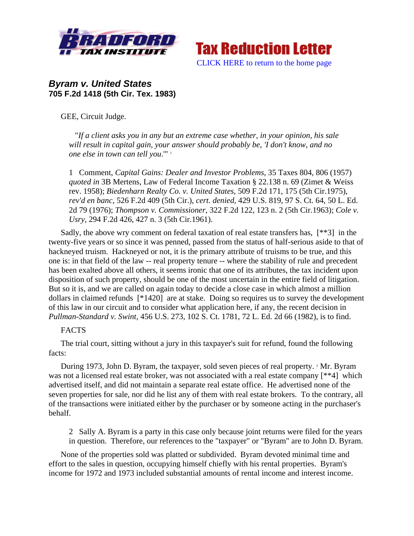



## *Byram v. United States*  **705 F.2d 1418 (5th Cir. Tex. 1983)**

GEE, Circuit Judge.

 "*If a client asks you in any but an extreme case whether, in your opinion, his sale will result in capital gain, your answer should probably be, 'I don't know, and no one else in town can tell you*.'" 1

1 Comment, *Capital Gains: Dealer and Investor Problems*, 35 Taxes 804, 806 (1957) *quoted in* 3B Mertens, Law of Federal Income Taxation § 22.138 n. 69 (Zimet & Weiss rev. 1958); *Biedenharn Realty Co. v. United States*, 509 F.2d 171, 175 (5th Cir.1975), *rev'd en banc*, 526 F.2d 409 (5th Cir.), *cert. denied*, 429 U.S. 819, 97 S. Ct. 64, 50 L. Ed. 2d 79 (1976); *Thompson v. Commissioner*, 322 F.2d 122, 123 n. 2 (5th Cir.1963); *Cole v. Usry*, 294 F.2d 426, 427 n. 3 (5th Cir.1961).

Sadly, the above wry comment on federal taxation of real estate transfers has, [\*\*3] in the twenty-five years or so since it was penned, passed from the status of half-serious aside to that of hackneyed truism. Hackneyed or not, it is the primary attribute of truisms to be true, and this one is: in that field of the law -- real property tenure -- where the stability of rule and precedent has been exalted above all others, it seems ironic that one of its attributes, the tax incident upon disposition of such property, should be one of the most uncertain in the entire field of litigation. But so it is, and we are called on again today to decide a close case in which almost a million dollars in claimed refunds [\*1420] are at stake. Doing so requires us to survey the development of this law in our circuit and to consider what application here, if any, the recent decision in *Pullman-Standard v. Swint*, 456 U.S. 273, 102 S. Ct. 1781, 72 L. Ed. 2d 66 (1982), is to find.

## FACTS

The trial court, sitting without a jury in this taxpayer's suit for refund, found the following facts:

During 1973, John D. Byram, the taxpayer, sold seven pieces of real property. <sup>2</sup> Mr. Byram was not a licensed real estate broker, was not associated with a real estate company [\*\*4] which advertised itself, and did not maintain a separate real estate office. He advertised none of the seven properties for sale, nor did he list any of them with real estate brokers. To the contrary, all of the transactions were initiated either by the purchaser or by someone acting in the purchaser's behalf.

2 Sally A. Byram is a party in this case only because joint returns were filed for the years in question. Therefore, our references to the "taxpayer" or "Byram" are to John D. Byram.

None of the properties sold was platted or subdivided. Byram devoted minimal time and effort to the sales in question, occupying himself chiefly with his rental properties. Byram's income for 1972 and 1973 included substantial amounts of rental income and interest income.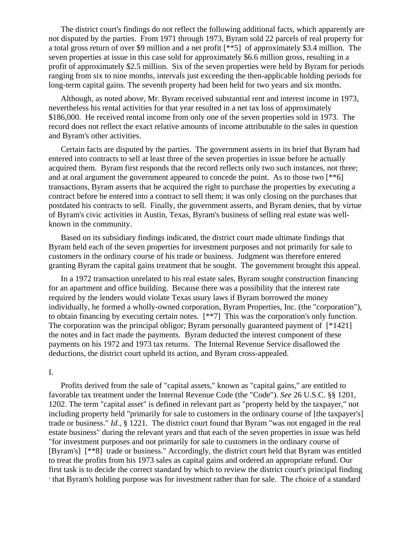The district court's findings do not reflect the following additional facts, which apparently are not disputed by the parties. From 1971 through 1973, Byram sold 22 parcels of real property for a total gross return of over \$9 million and a net profit [\*\*5] of approximately \$3.4 million. The seven properties at issue in this case sold for approximately \$6.6 million gross, resulting in a profit of approximately \$2.5 million. Six of the seven properties were held by Byram for periods ranging from six to nine months, intervals just exceeding the then-applicable holding periods for long-term capital gains. The seventh property had been held for two years and six months.

Although, as noted above, Mr. Byram received substantial rent and interest income in 1973, nevertheless his rental activities for that year resulted in a net tax loss of approximately \$186,000. He received rental income from only one of the seven properties sold in 1973. The record does not reflect the exact relative amounts of income attributable to the sales in question and Byram's other activities.

Certain facts are disputed by the parties. The government asserts in its brief that Byram had entered into contracts to sell at least three of the seven properties in issue before he actually acquired them. Byram first responds that the record reflects only two such instances, not three; and at oral argument the government appeared to concede the point. As to those two [\*\*6] transactions, Byram asserts that he acquired the right to purchase the properties by executing a contract before he entered into a contract to sell them; it was only closing on the purchases that postdated his contracts to sell. Finally, the government asserts, and Byram denies, that by virtue of Byram's civic activities in Austin, Texas, Byram's business of selling real estate was wellknown in the community.

Based on its subsidiary findings indicated, the district court made ultimate findings that Byram held each of the seven properties for investment purposes and not primarily for sale to customers in the ordinary course of his trade or business. Judgment was therefore entered granting Byram the capital gains treatment that he sought. The government brought this appeal.

In a 1972 transaction unrelated to his real estate sales, Byram sought construction financing for an apartment and office building. Because there was a possibility that the interest rate required by the lenders would violate Texas usury laws if Byram borrowed the money individually, he formed a wholly-owned corporation, Byram Properties, Inc. (the "corporation"), to obtain financing by executing certain notes. [\*\*7] This was the corporation's only function. The corporation was the principal obligor; Byram personally guaranteed payment of [\*1421] the notes and in fact made the payments. Byram deducted the interest component of these payments on his 1972 and 1973 tax returns. The Internal Revenue Service disallowed the deductions, the district court upheld its action, and Byram cross-appealed.

## I.

Profits derived from the sale of "capital assets," known as "capital gains," are entitled to favorable tax treatment under the Internal Revenue Code (the "Code"). *See* 26 U.S.C. §§ 1201, 1202. The term "capital asset" is defined in relevant part as "property held by the taxpayer," not including property held "primarily for sale to customers in the ordinary course of [the taxpayer's] trade or business." *Id*., § 1221. The district court found that Byram "was not engaged in the real estate business" during the relevant years and that each of the seven properties in issue was held "for investment purposes and not primarily for sale to customers in the ordinary course of [Byram's] [\*\*8] trade or business." Accordingly, the district court held that Byram was entitled to treat the profits from his 1973 sales as capital gains and ordered an appropriate refund. Our first task is to decide the correct standard by which to review the district court's principal finding 3 <sup>3</sup> that Byram's holding purpose was for investment rather than for sale. The choice of a standard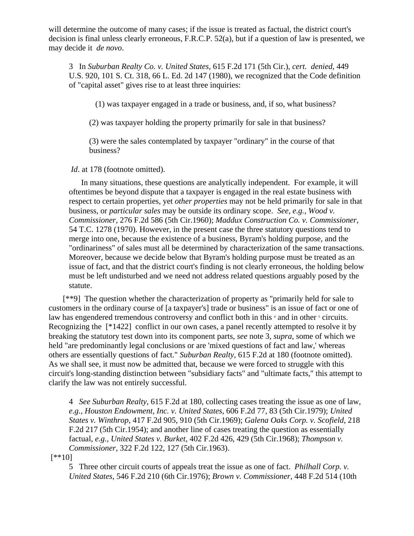will determine the outcome of many cases; if the issue is treated as factual, the district court's decision is final unless clearly erroneous, F.R.C.P. 52(a), but if a question of law is presented, we may decide it *de novo*.

3 In *Suburban Realty Co. v. United States*, 615 F.2d 171 (5th Cir.), *cert. denied*, 449 U.S. 920, 101 S. Ct. 318, 66 L. Ed. 2d 147 (1980), we recognized that the Code definition of "capital asset" gives rise to at least three inquiries:

(1) was taxpayer engaged in a trade or business, and, if so, what business?

(2) was taxpayer holding the property primarily for sale in that business?

(3) were the sales contemplated by taxpayer "ordinary" in the course of that business?

*Id*. at 178 (footnote omitted).

In many situations, these questions are analytically independent. For example, it will oftentimes be beyond dispute that a taxpayer is engaged in the real estate business with respect to certain properties, yet *other properties* may not be held primarily for sale in that business, or *particular sales* may be outside its ordinary scope. *See, e.g., Wood v. Commissioner*, 276 F.2d 586 (5th Cir.1960); *Maddux Construction Co. v. Commissioner*, 54 T.C. 1278 (1970). However, in the present case the three statutory questions tend to merge into one, because the existence of a business, Byram's holding purpose, and the "ordinariness" of sales must all be determined by characterization of the same transactions. Moreover, because we decide below that Byram's holding purpose must be treated as an issue of fact, and that the district court's finding is not clearly erroneous, the holding below must be left undisturbed and we need not address related questions arguably posed by the statute.

 [\*\*9] The question whether the characterization of property as "primarily held for sale to customers in the ordinary course of [a taxpayer's] trade or business" is an issue of fact or one of law has engendered tremendous controversy and conflict both in this <sup>4</sup> and in other <sup>5</sup> circuits. Recognizing the [\*1422] conflict in our own cases, a panel recently attempted to resolve it by breaking the statutory test down into its component parts, *see* note 3, *supra*, some of which we held "are predominantly legal conclusions or are 'mixed questions of fact and law,' whereas others are essentially questions of fact." *Suburban Realty*, 615 F.2d at 180 (footnote omitted). As we shall see, it must now be admitted that, because we were forced to struggle with this circuit's long-standing distinction between "subsidiary facts" and "ultimate facts," this attempt to clarify the law was not entirely successful.

4 *See Suburban Realty*, 615 F.2d at 180, collecting cases treating the issue as one of law, *e.g., Houston Endowment, Inc. v. United States*, 606 F.2d 77, 83 (5th Cir.1979); *United States v. Winthrop*, 417 F.2d 905, 910 (5th Cir.1969); *Galena Oaks Corp. v. Scofield*, 218 F.2d 217 (5th Cir.1954); and another line of cases treating the question as essentially factual, *e.g., United States v. Burket*, 402 F.2d 426, 429 (5th Cir.1968); *Thompson v. Commissioner*, 322 F.2d 122, 127 (5th Cir.1963).

[\*\*10]

5 Three other circuit courts of appeals treat the issue as one of fact. *Philhall Corp. v. United States*, 546 F.2d 210 (6th Cir.1976); *Brown v. Commissioner*, 448 F.2d 514 (10th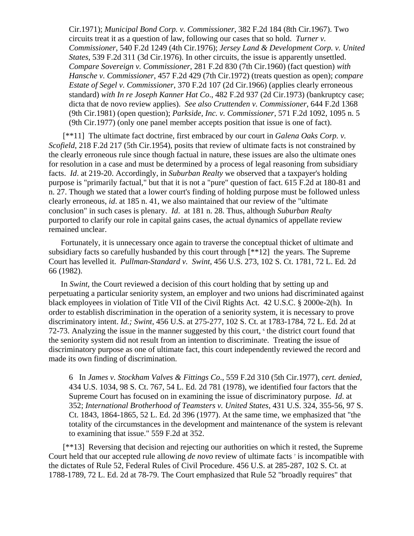Cir.1971); *Municipal Bond Corp. v. Commissioner*, 382 F.2d 184 (8th Cir.1967). Two circuits treat it as a question of law, following our cases that so hold. *Turner v. Commissioner*, 540 F.2d 1249 (4th Cir.1976); *Jersey Land & Development Corp. v. United States*, 539 F.2d 311 (3d Cir.1976). In other circuits, the issue is apparently unsettled. *Compare Sovereign v. Commissioner*, 281 F.2d 830 (7th Cir.1960) (fact question) *with Hansche v. Commissioner*, 457 F.2d 429 (7th Cir.1972) (treats question as open); *compare Estate of Segel v. Commissioner*, 370 F.2d 107 (2d Cir.1966) (applies clearly erroneous standard) *with In re Joseph Kanner Hat Co*., 482 F.2d 937 (2d Cir.1973) (bankruptcy case; dicta that de novo review applies). *See also Cruttenden v. Commissioner*, 644 F.2d 1368 (9th Cir.1981) (open question); *Parkside, Inc. v. Commissioner*, 571 F.2d 1092, 1095 n. 5 (9th Cir.1977) (only one panel member accepts position that issue is one of fact).

 [\*\*11] The ultimate fact doctrine, first embraced by our court in *Galena Oaks Corp. v. Scofield*, 218 F.2d 217 (5th Cir.1954), posits that review of ultimate facts is not constrained by the clearly erroneous rule since though factual in nature, these issues are also the ultimate ones for resolution in a case and must be determined by a process of legal reasoning from subsidiary facts. *Id*. at 219-20. Accordingly, in *Suburban Realty* we observed that a taxpayer's holding purpose is "primarily factual," but that it is not a "pure" question of fact. 615 F.2d at 180-81 and n. 27. Though we stated that a lower court's finding of holding purpose must be followed unless clearly erroneous, *id*. at 185 n. 41, we also maintained that our review of the "ultimate conclusion" in such cases is plenary. *Id*. at 181 n. 28. Thus, although *Suburban Realty* purported to clarify our role in capital gains cases, the actual dynamics of appellate review remained unclear.

Fortunately, it is unnecessary once again to traverse the conceptual thicket of ultimate and subsidiary facts so carefully husbanded by this court through [\*\*12] the years. The Supreme Court has levelled it. *Pullman-Standard v. Swint*, 456 U.S. 273, 102 S. Ct. 1781, 72 L. Ed. 2d 66 (1982).

In *Swint*, the Court reviewed a decision of this court holding that by setting up and perpetuating a particular seniority system, an employer and two unions had discriminated against black employees in violation of Title VII of the Civil Rights Act. 42 U.S.C. § 2000e-2(h). In order to establish discrimination in the operation of a seniority system, it is necessary to prove discriminatory intent. *Id.; Swint*, 456 U.S. at 275-277, 102 S. Ct. at 1783-1784, 72 L. Ed. 2d at 72-73. Analyzing the issue in the manner suggested by this court,  $\epsilon$  the district court found that the seniority system did not result from an intention to discriminate. Treating the issue of discriminatory purpose as one of ultimate fact, this court independently reviewed the record and made its own finding of discrimination.

6 In *James v. Stockham Valves & Fittings Co*., 559 F.2d 310 (5th Cir.1977), *cert. denied*, 434 U.S. 1034, 98 S. Ct. 767, 54 L. Ed. 2d 781 (1978), we identified four factors that the Supreme Court has focused on in examining the issue of discriminatory purpose. *Id*. at 352; *International Brotherhood of Teamsters v. United States*, 431 U.S. 324, 355-56, 97 S. Ct. 1843, 1864-1865, 52 L. Ed. 2d 396 (1977). At the same time, we emphasized that "the totality of the circumstances in the development and maintenance of the system is relevant to examining that issue." 559 F.2d at 352.

 [\*\*13] Reversing that decision and rejecting our authorities on which it rested, the Supreme Court held that our accepted rule allowing *de novo* review of ultimate facts<sup>7</sup> is incompatible with the dictates of Rule 52, Federal Rules of Civil Procedure. 456 U.S. at 285-287, 102 S. Ct. at 1788-1789, 72 L. Ed. 2d at 78-79. The Court emphasized that Rule 52 "broadly requires" that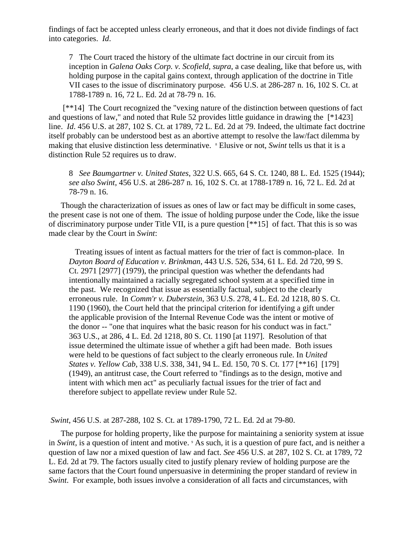findings of fact be accepted unless clearly erroneous, and that it does not divide findings of fact into categories. *Id*.

7 The Court traced the history of the ultimate fact doctrine in our circuit from its inception in *Galena Oaks Corp. v. Scofield, supra*, a case dealing, like that before us, with holding purpose in the capital gains context, through application of the doctrine in Title VII cases to the issue of discriminatory purpose. 456 U.S. at 286-287 n. 16, 102 S. Ct. at 1788-1789 n. 16, 72 L. Ed. 2d at 78-79 n. 16.

 [\*\*14] The Court recognized the "vexing nature of the distinction between questions of fact and questions of law," and noted that Rule 52 provides little guidance in drawing the [\*1423] line. *Id*. 456 U.S. at 287, 102 S. Ct. at 1789, 72 L. Ed. 2d at 79. Indeed, the ultimate fact doctrine itself probably can be understood best as an abortive attempt to resolve the law/fact dilemma by making that elusive distinction less determinative. <sup>8</sup> Elusive or not, *Swint* tells us that it is a distinction Rule 52 requires us to draw.

8 *See Baumgartner v. United States*, 322 U.S. 665, 64 S. Ct. 1240, 88 L. Ed. 1525 (1944); *see also Swint*, 456 U.S. at 286-287 n. 16, 102 S. Ct. at 1788-1789 n. 16, 72 L. Ed. 2d at 78-79 n. 16.

Though the characterization of issues as ones of law or fact may be difficult in some cases, the present case is not one of them. The issue of holding purpose under the Code, like the issue of discriminatory purpose under Title VII, is a pure question [\*\*15] of fact. That this is so was made clear by the Court in *Swint*:

 Treating issues of intent as factual matters for the trier of fact is common-place. In *Dayton Board of Education v. Brinkman*, 443 U.S. 526, 534, 61 L. Ed. 2d 720, 99 S. Ct. 2971 [2977] (1979), the principal question was whether the defendants had intentionally maintained a racially segregated school system at a specified time in the past. We recognized that issue as essentially factual, subject to the clearly erroneous rule. In *Comm'r v. Duberstein*, 363 U.S. 278, 4 L. Ed. 2d 1218, 80 S. Ct. 1190 (1960), the Court held that the principal criterion for identifying a gift under the applicable provision of the Internal Revenue Code was the intent or motive of the donor -- "one that inquires what the basic reason for his conduct was in fact." 363 U.S., at 286, 4 L. Ed. 2d 1218, 80 S. Ct. 1190 [at 1197]. Resolution of that issue determined the ultimate issue of whether a gift had been made. Both issues were held to be questions of fact subject to the clearly erroneous rule. In *United States v. Yellow Cab*, 338 U.S. 338, 341, 94 L. Ed. 150, 70 S. Ct. 177 [\*\*16] [179] (1949), an antitrust case, the Court referred to "findings as to the design, motive and intent with which men act" as peculiarly factual issues for the trier of fact and therefore subject to appellate review under Rule 52.

*Swint*, 456 U.S. at 287-288, 102 S. Ct. at 1789-1790, 72 L. Ed. 2d at 79-80.

The purpose for holding property, like the purpose for maintaining a seniority system at issue in *Swint*, is a question of intent and motive. <sup>9</sup> As such, it is a question of pure fact, and is neither a question of law nor a mixed question of law and fact. *See* 456 U.S. at 287, 102 S. Ct. at 1789, 72 L. Ed. 2d at 79. The factors usually cited to justify plenary review of holding purpose are the same factors that the Court found unpersuasive in determining the proper standard of review in *Swint*. For example, both issues involve a consideration of all facts and circumstances, with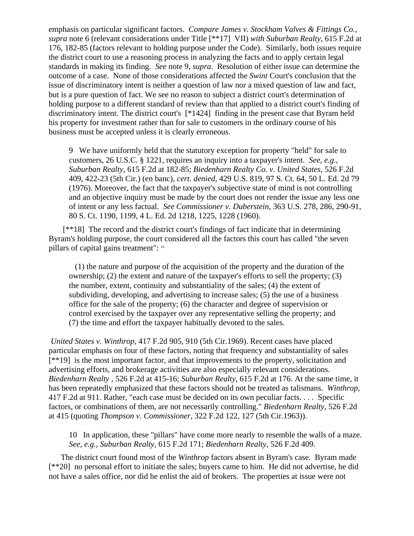emphasis on particular significant factors. *Compare James v. Stockham Valves & Fittings Co., supra* note 6 (relevant considerations under Title [\*\*17] VII) *with Suburban Realty*, 615 F.2d at 176, 182-85 (factors relevant to holding purpose under the Code). Similarly, both issues require the district court to use a reasoning process in analyzing the facts and to apply certain legal standards in making its finding. *See* note 9, *supra*. Resolution of either issue can determine the outcome of a case. None of those considerations affected the *Swint* Court's conclusion that the issue of discriminatory intent is neither a question of law nor a mixed question of law and fact, but is a pure question of fact. We see no reason to subject a district court's determination of holding purpose to a different standard of review than that applied to a district court's finding of discriminatory intent. The district court's [\*1424] finding in the present case that Byram held his property for investment rather than for sale to customers in the ordinary course of his business must be accepted unless it is clearly erroneous.

9 We have uniformly held that the statutory exception for property "held" for sale to customers, 26 U.S.C. § 1221, requires an inquiry into a taxpayer's intent. *See, e.g., Suburban Realty*, 615 F.2d at 182-85; *Biedenharn Realty Co. v. United States*, 526 F.2d 409, 422-23 (5th Cir.) (en banc), *cert. denied*, 429 U.S. 819, 97 S. Ct. 64, 50 L. Ed. 2d 79 (1976). Moreover, the fact that the taxpayer's subjective state of mind is not controlling and an objective inquiry must be made by the court does not render the issue any less one of intent or any less factual. *See Commissioner v. Duberstein*, 363 U.S. 278, 286, 290-91, 80 S. Ct. 1190, 1199, 4 L. Ed. 2d 1218, 1225, 1228 (1960).

 [\*\*18] The record and the district court's findings of fact indicate that in determining Byram's holding purpose, the court considered all the factors this court has called "the seven pillars of capital gains treatment": 10

 (1) the nature and purpose of the acquisition of the property and the duration of the ownership; (2) the extent and nature of the taxpayer's efforts to sell the property; (3) the number, extent, continuity and substantiality of the sales; (4) the extent of subdividing, developing, and advertising to increase sales; (5) the use of a business office for the sale of the property; (6) the character and degree of supervision or control exercised by the taxpayer over any representative selling the property; and (7) the time and effort the taxpayer habitually devoted to the sales.

*United States v. Winthrop*, 417 F.2d 905, 910 (5th Cir.1969). Recent cases have placed particular emphasis on four of these factors, noting that frequency and substantiality of sales [\*\*19] is the most important factor, and that improvements to the property, solicitation and advertising efforts, and brokerage activities are also especially relevant considerations. *Biedenharn Realty* , 526 F.2d at 415-16; *Suburban Realty*, 615 F.2d at 176. At the same time, it has been repeatedly emphasized that these factors should not be treated as talismans. *Winthrop*, 417 F.2d at 911. Rather, "each case must be decided on its own peculiar facts. . . . Specific factors, or combinations of them, are not necessarily controlling." *Biedenharn Realty*, 526 F.2d at 415 (quoting *Thompson v. Commissioner*, 322 F.2d 122, 127 (5th Cir.1963)).

10 In application, these "pillars" have come more nearly to resemble the walls of a maze. *See, e.g., Suburban Realty*, 615 F.2d 171; *Biedenharn Realty*, 526 F.2d 409.

The district court found most of the *Winthrop* factors absent in Byram's case. Byram made [\*\*20] no personal effort to initiate the sales; buyers came to him. He did not advertise, he did not have a sales office, nor did he enlist the aid of brokers. The properties at issue were not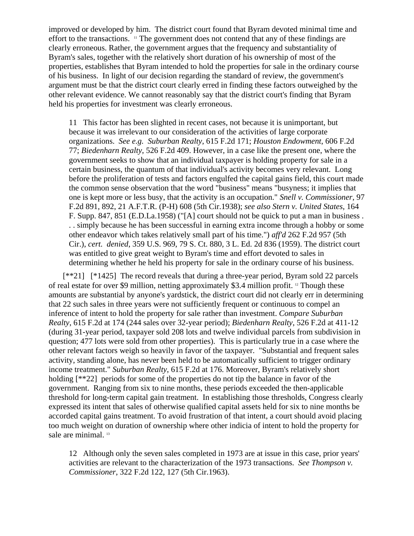improved or developed by him. The district court found that Byram devoted minimal time and effort to the transactions. 11 The government does not contend that any of these findings are clearly erroneous. Rather, the government argues that the frequency and substantiality of Byram's sales, together with the relatively short duration of his ownership of most of the properties, establishes that Byram intended to hold the properties for sale in the ordinary course of his business. In light of our decision regarding the standard of review, the government's argument must be that the district court clearly erred in finding these factors outweighed by the other relevant evidence. We cannot reasonably say that the district court's finding that Byram held his properties for investment was clearly erroneous.

11 This factor has been slighted in recent cases, not because it is unimportant, but because it was irrelevant to our consideration of the activities of large corporate organizations. *See e.g. Suburban Realty*, 615 F.2d 171; *Houston Endowment*, 606 F.2d 77; *Biedenharn Realty*, 526 F.2d 409. However, in a case like the present one, where the government seeks to show that an individual taxpayer is holding property for sale in a certain business, the quantum of that individual's activity becomes very relevant. Long before the proliferation of tests and factors engulfed the capital gains field, this court made the common sense observation that the word "business" means "busyness; it implies that one is kept more or less busy, that the activity is an occupation." *Snell v. Commissioner*, 97 F.2d 891, 892, 21 A.F.T.R. (P-H) 608 (5th Cir.1938); *see also Stern v. United States*, 164 F. Supp. 847, 851 (E.D.La.1958) ("[A] court should not be quick to put a man in business . . . simply because he has been successful in earning extra income through a hobby or some other endeavor which takes relatively small part of his time.") *aff'd* 262 F.2d 957 (5th Cir.), *cert. denied*, 359 U.S. 969, 79 S. Ct. 880, 3 L. Ed. 2d 836 (1959). The district court was entitled to give great weight to Byram's time and effort devoted to sales in determining whether he held his property for sale in the ordinary course of his business.

 [\*\*21] [\*1425] The record reveals that during a three-year period, Byram sold 22 parcels of real estate for over \$9 million, netting approximately \$3.4 million profit. 12 Though these amounts are substantial by anyone's yardstick, the district court did not clearly err in determining that 22 such sales in three years were not sufficiently frequent or continuous to compel an inference of intent to hold the property for sale rather than investment. *Compare Suburban Realty*, 615 F.2d at 174 (244 sales over 32-year period); *Biedenharn Realty*, 526 F.2d at 411-12 (during 31-year period, taxpayer sold 208 lots and twelve individual parcels from subdivision in question; 477 lots were sold from other properties). This is particularly true in a case where the other relevant factors weigh so heavily in favor of the taxpayer. "Substantial and frequent sales activity, standing alone, has never been held to be automatically sufficient to trigger ordinary income treatment." *Suburban Realty*, 615 F.2d at 176. Moreover, Byram's relatively short holding  $[**22]$  periods for some of the properties do not tip the balance in favor of the government. Ranging from six to nine months, these periods exceeded the then-applicable threshold for long-term capital gain treatment. In establishing those thresholds, Congress clearly expressed its intent that sales of otherwise qualified capital assets held for six to nine months be accorded capital gains treatment. To avoid frustration of that intent, a court should avoid placing too much weight on duration of ownership where other indicia of intent to hold the property for sale are minimal.<sup>13</sup>

12 Although only the seven sales completed in 1973 are at issue in this case, prior years' activities are relevant to the characterization of the 1973 transactions. *See Thompson v. Commissioner*, 322 F.2d 122, 127 (5th Cir.1963).